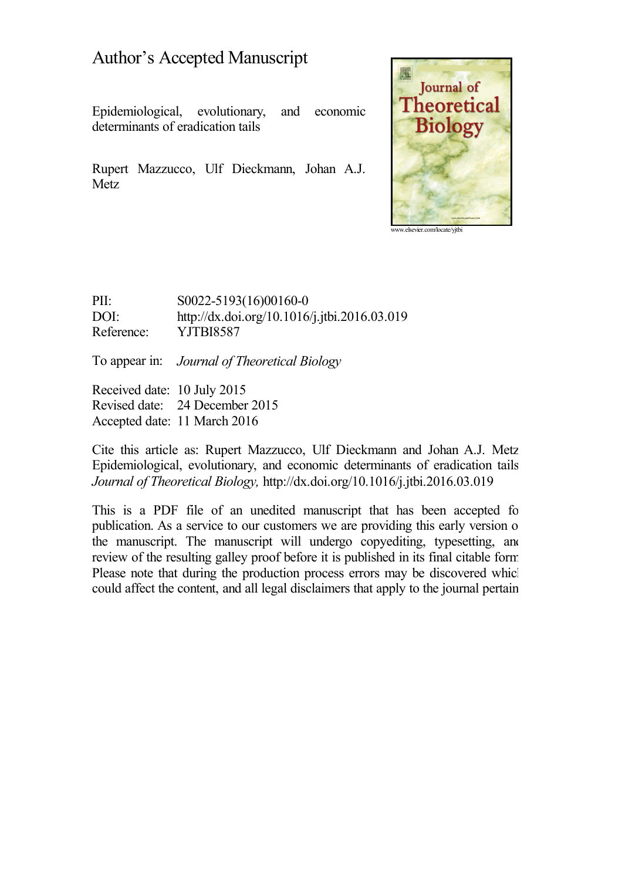# Author's Accepted Manuscript

Epidemiological, evolutionary, and economic determinants of eradication tails

Rupert Mazzucco, Ulf Dieckmann, Johan A.J. Metz



[www.elsevier.com/locate/yjtbi](http://www.elsevier.com/locate/yjtbi)

PII: S0022-5193(16)00160-0 DOI: <http://dx.doi.org/10.1016/j.jtbi.2016.03.019> Reference: YJTBI8587

To appear in: *Journal of Theoretical Biology*

Received date: 10 July 2015 Revised date: 24 December 2015 Accepted date: 11 March 2016

Cite this article as: Rupert Mazzucco, Ulf Dieckmann and Johan A.J. Metz, Epidemiological, evolutionary, and economic determinants of eradication tails, *Journal of Theoretical Biology,* <http://dx.doi.org/10.1016/j.jtbi.2016.03.019>

This is a PDF file of an unedited manuscript that has been accepted for publication. As a service to our customers we are providing this early version of the manuscript. The manuscript will undergo copyediting, typesetting, and review of the resulting galley proof before it is published in its final citable form. Please note that during the production process errors may be discovered which could affect the content, and all legal disclaimers that apply to the journal pertain.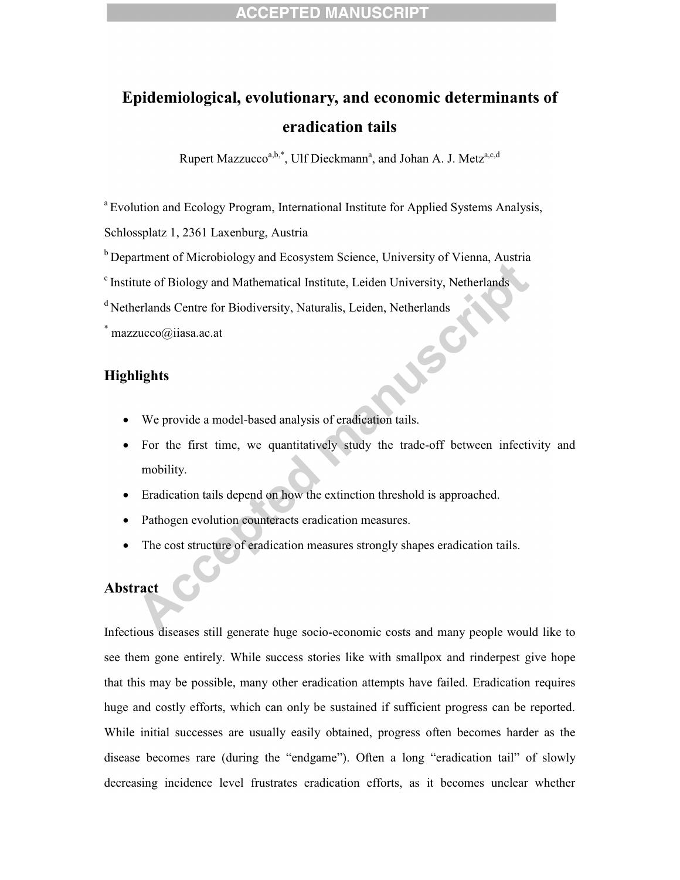# **Epidemiological, evolutionary, and economic determinants of eradication tails**

Rupert Mazzucco<sup>a,b,\*</sup>, Ulf Dieckmann<sup>a</sup>, and Johan A. J. Metz<sup>a,c,d</sup>

<sup>a</sup> Evolution and Ecology Program, International Institute for Applied Systems Analysis,

Schlossplatz 1, 2361 Laxenburg, Austria

- $b$  Department of Microbiology and Ecosystem Science, University of Vienna, Austria
- $\textdegree$  Institute of Biology and Mathematical Institute, Leiden University, Netherlands
- <sup>d</sup> Netherlands Centre for Biodiversity, Naturalis, Leiden, Netherlands

\* mazzucco@iiasa.ac.at

### **Highlights**

- · We provide a model-based analysis of eradication tails.
- · For the first time, we quantitatively study the trade-off between infectivity and mobility.

JSC

- Eradication tails depend on how the extinction threshold is approached.
- Pathogen evolution counteracts eradication measures.
- The cost structure of eradication measures strongly shapes eradication tails.

### **Abstract**

Infectious diseases still generate huge socio-economic costs and many people would like to see them gone entirely. While success stories like with smallpox and rinderpest give hope that this may be possible, many other eradication attempts have failed. Eradication requires huge and costly efforts, which can only be sustained if sufficient progress can be reported. While initial successes are usually easily obtained, progress often becomes harder as the disease becomes rare (during the "endgame"). Often a long "eradication tail" of slowly decreasing incidence level frustrates eradication efforts, as it becomes unclear whether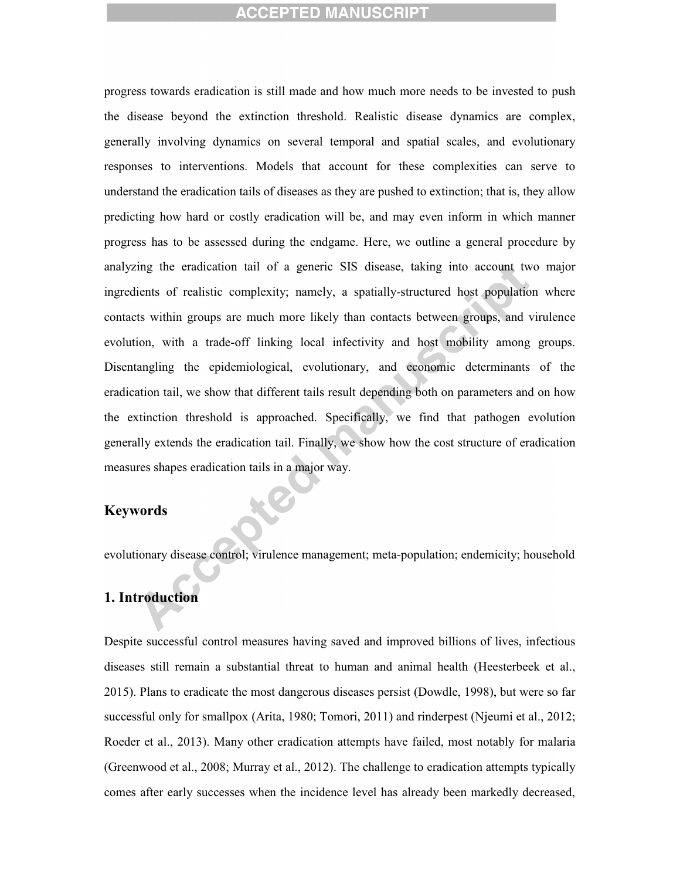progress towards eradication is still made and how much more needs to be invested to push the disease beyond the extinction threshold. Realistic disease dynamics are complex, generally involving dynamics on several temporal and spatial scales, and evolutionary responses to interventions. Models that account for these complexities can serve to understand the eradication tails of diseases as they are pushed to extinction; that is, they allow predicting how hard or costly eradication will be, and may even inform in which manner progress has to be assessed during the endgame. Here, we outline a general procedure by analyzing the eradication tail of a generic SIS disease, taking into account two major ingredients of realistic complexity; namely, a spatially-structured host population where contacts within groups are much more likely than contacts between groups, and virulence evolution, with a trade-off linking local infectivity and host mobility among groups. Disentangling the epidemiological, evolutionary, and economic determinants of the eradication tail, we show that different tails result depending both on parameters and on how the extinction threshold is approached. Specifically, we find that pathogen evolution generally extends the eradication tail. Finally, we show how the cost structure of eradication measures shapes eradication tails in a major way.

#### **Keywords**

evolutionary disease control; virulence management; meta-population; endemicity; household

#### **1. Introduction**

Despite successful control measures having saved and improved billions of lives, infectious diseases still remain a substantial threat to human and animal health (Heesterbeek et al., 2015). Plans to eradicate the most dangerous diseases persist (Dowdle, 1998), but were so far successful only for smallpox (Arita, 1980; Tomori, 2011) and rinderpest (Njeumi et al., 2012; Roeder et al., 2013). Many other eradication attempts have failed, most notably for malaria (Greenwood et al., 2008; Murray et al., 2012). The challenge to eradication attempts typically comes after early successes when the incidence level has already been markedly decreased,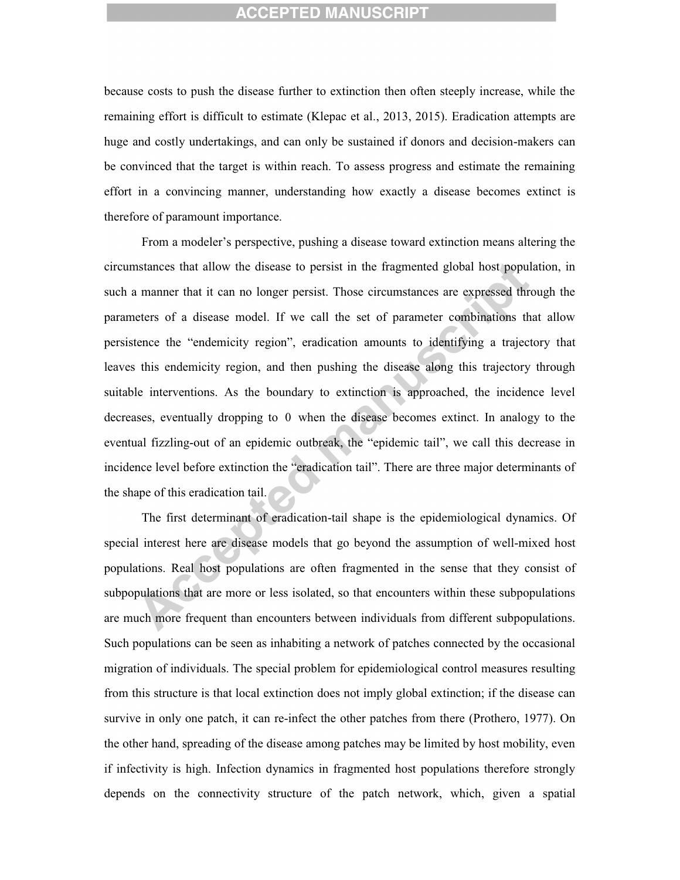because costs to push the disease further to extinction then often steeply increase, while the remaining effort is difficult to estimate (Klepac et al., 2013, 2015). Eradication attempts are huge and costly undertakings, and can only be sustained if donors and decision-makers can be convinced that the target is within reach. To assess progress and estimate the remaining effort in a convincing manner, understanding how exactly a disease becomes extinct is therefore of paramount importance.

From a modeler's perspective, pushing a disease toward extinction means altering the circumstances that allow the disease to persist in the fragmented global host population, in such a manner that it can no longer persist. Those circumstances are expressed through the parameters of a disease model. If we call the set of parameter combinations that allow persistence the "endemicity region", eradication amounts to identifying a trajectory that leaves this endemicity region, and then pushing the disease along this trajectory through suitable interventions. As the boundary to extinction is approached, the incidence level decreases, eventually dropping to 0 when the disease becomes extinct. In analogy to the eventual fizzling-out of an epidemic outbreak, the "epidemic tail", we call this decrease in incidence level before extinction the "eradication tail". There are three major determinants of the shape of this eradication tail.

The first determinant of eradication-tail shape is the epidemiological dynamics. Of special interest here are disease models that go beyond the assumption of well-mixed host populations. Real host populations are often fragmented in the sense that they consist of subpopulations that are more or less isolated, so that encounters within these subpopulations are much more frequent than encounters between individuals from different subpopulations. Such populations can be seen as inhabiting a network of patches connected by the occasional migration of individuals. The special problem for epidemiological control measures resulting from this structure is that local extinction does not imply global extinction; if the disease can survive in only one patch, it can re-infect the other patches from there (Prothero, 1977). On the other hand, spreading of the disease among patches may be limited by host mobility, even if infectivity is high. Infection dynamics in fragmented host populations therefore strongly depends on the connectivity structure of the patch network, which, given a spatial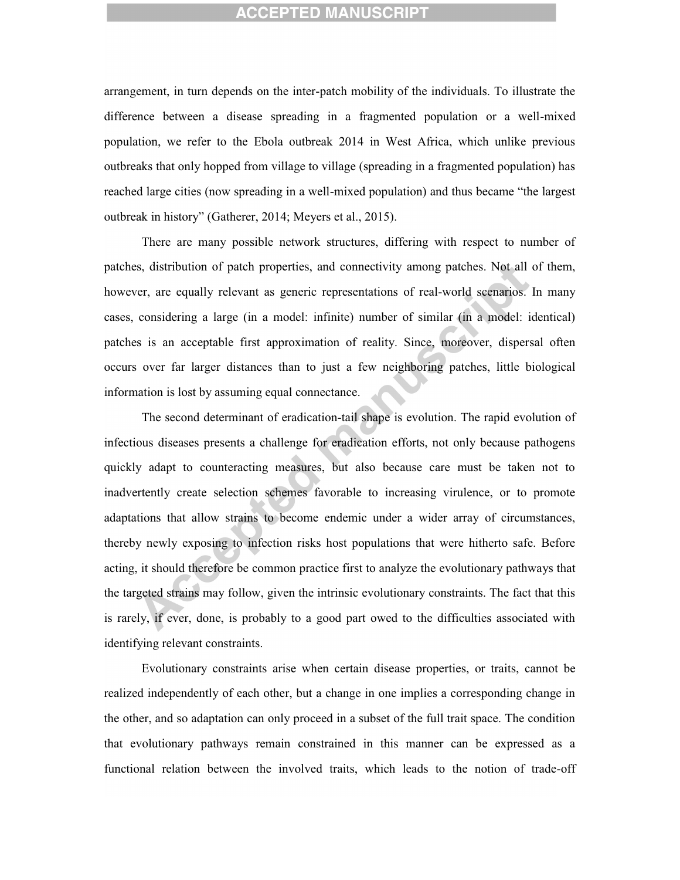arrangement, in turn depends on the inter-patch mobility of the individuals. To illustrate the difference between a disease spreading in a fragmented population or a well-mixed population, we refer to the Ebola outbreak 2014 in West Africa, which unlike previous outbreaks that only hopped from village to village (spreading in a fragmented population) has reached large cities (now spreading in a well-mixed population) and thus became "the largest outbreak in history" (Gatherer, 2014; Meyers et al., 2015).

There are many possible network structures, differing with respect to number of patches, distribution of patch properties, and connectivity among patches. Not all of them, however, are equally relevant as generic representations of real-world scenarios. In many cases, considering a large (in a model: infinite) number of similar (in a model: identical) patches is an acceptable first approximation of reality. Since, moreover, dispersal often occurs over far larger distances than to just a few neighboring patches, little biological information is lost by assuming equal connectance.

The second determinant of eradication-tail shape is evolution. The rapid evolution of infectious diseases presents a challenge for eradication efforts, not only because pathogens quickly adapt to counteracting measures, but also because care must be taken not to inadvertently create selection schemes favorable to increasing virulence, or to promote adaptations that allow strains to become endemic under a wider array of circumstances, thereby newly exposing to infection risks host populations that were hitherto safe. Before acting, it should therefore be common practice first to analyze the evolutionary pathways that the targeted strains may follow, given the intrinsic evolutionary constraints. The fact that this is rarely, if ever, done, is probably to a good part owed to the difficulties associated with identifying relevant constraints.

Evolutionary constraints arise when certain disease properties, or traits, cannot be realized independently of each other, but a change in one implies a corresponding change in the other, and so adaptation can only proceed in a subset of the full trait space. The condition that evolutionary pathways remain constrained in this manner can be expressed as a functional relation between the involved traits, which leads to the notion of trade-off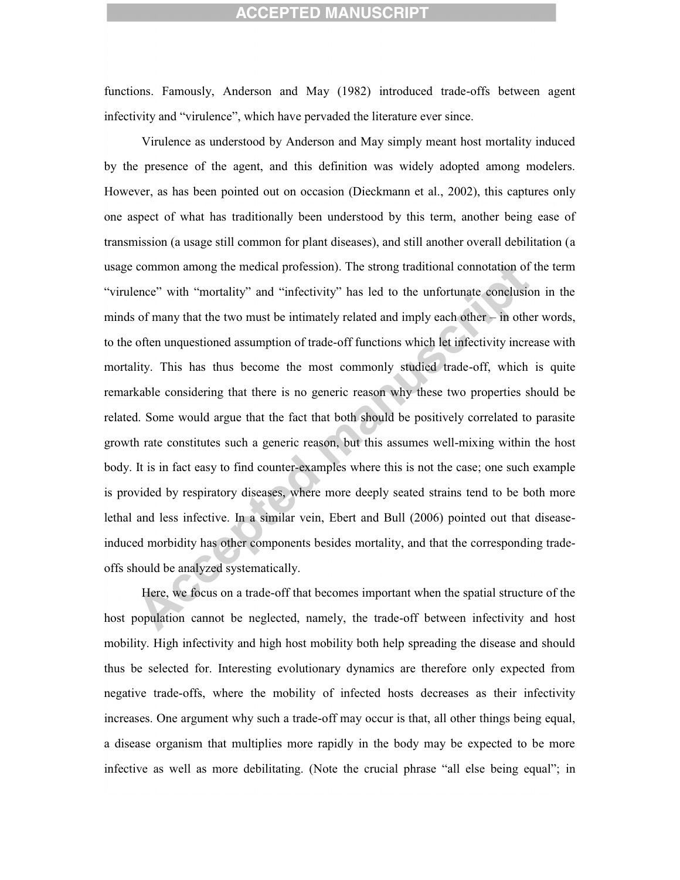functions. Famously, Anderson and May (1982) introduced trade-offs between agent infectivity and "virulence", which have pervaded the literature ever since.

Virulence as understood by Anderson and May simply meant host mortality induced by the presence of the agent, and this definition was widely adopted among modelers. However, as has been pointed out on occasion (Dieckmann et al., 2002), this captures only one aspect of what has traditionally been understood by this term, another being ease of transmission (a usage still common for plant diseases), and still another overall debilitation (a usage common among the medical profession). The strong traditional connotation of the term "virulence" with "mortality" and "infectivity" has led to the unfortunate conclusion in the minds of many that the two must be intimately related and imply each other – in other words, to the often unquestioned assumption of trade-off functions which let infectivity increase with mortality. This has thus become the most commonly studied trade-off, which is quite remarkable considering that there is no generic reason why these two properties should be related. Some would argue that the fact that both should be positively correlated to parasite growth rate constitutes such a generic reason, but this assumes well-mixing within the host body. It is in fact easy to find counter-examples where this is not the case; one such example is provided by respiratory diseases, where more deeply seated strains tend to be both more lethal and less infective. In a similar vein, Ebert and Bull (2006) pointed out that diseaseinduced morbidity has other components besides mortality, and that the corresponding tradeoffs should be analyzed systematically.

Here, we focus on a trade-off that becomes important when the spatial structure of the host population cannot be neglected, namely, the trade-off between infectivity and host mobility. High infectivity and high host mobility both help spreading the disease and should thus be selected for. Interesting evolutionary dynamics are therefore only expected from negative trade-offs, where the mobility of infected hosts decreases as their infectivity increases. One argument why such a trade-off may occur is that, all other things being equal, a disease organism that multiplies more rapidly in the body may be expected to be more infective as well as more debilitating. (Note the crucial phrase "all else being equal"; in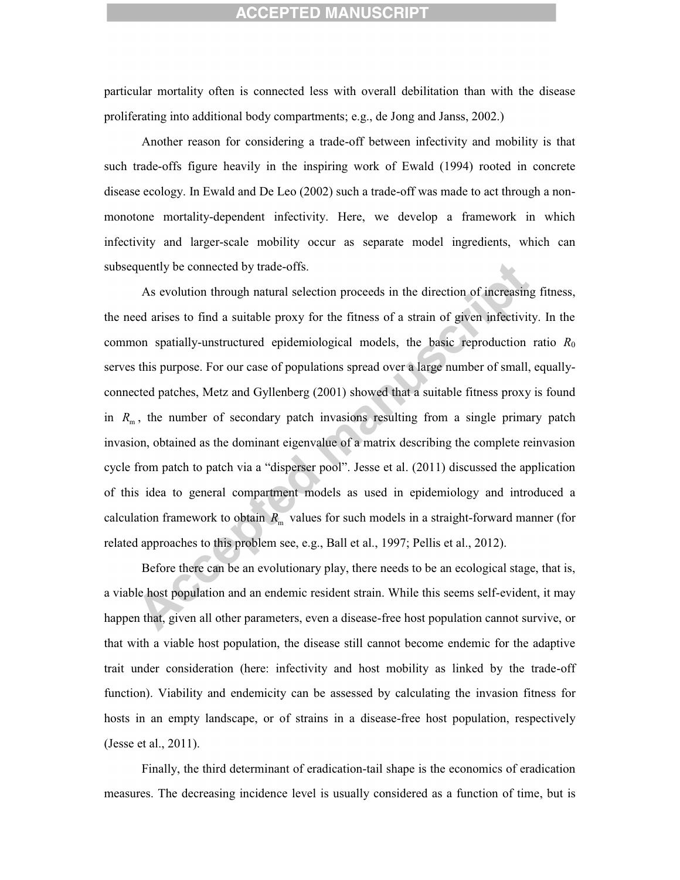particular mortality often is connected less with overall debilitation than with the disease proliferating into additional body compartments; e.g., de Jong and Janss, 2002.)

Another reason for considering a trade-off between infectivity and mobility is that such trade-offs figure heavily in the inspiring work of Ewald (1994) rooted in concrete disease ecology. In Ewald and De Leo (2002) such a trade-off was made to act through a nonmonotone mortality-dependent infectivity. Here, we develop a framework in which infectivity and larger-scale mobility occur as separate model ingredients, which can subsequently be connected by trade-offs.

As evolution through natural selection proceeds in the direction of increasing fitness, the need arises to find a suitable proxy for the fitness of a strain of given infectivity. In the common spatially-unstructured epidemiological models, the basic reproduction ratio *R*<sup>0</sup> serves this purpose. For our case of populations spread over a large number of small, equallyconnected patches, Metz and Gyllenberg (2001) showed that a suitable fitness proxy is found in  $R_m$ , the number of secondary patch invasions resulting from a single primary patch invasion, obtained as the dominant eigenvalue of a matrix describing the complete reinvasion cycle from patch to patch via a "disperser pool". Jesse et al. (2011) discussed the application of this idea to general compartment models as used in epidemiology and introduced a calculation framework to obtain  $R_{\text{m}}$  values for such models in a straight-forward manner (for related approaches to this problem see, e.g., Ball et al., 1997; Pellis et al., 2012).

Before there can be an evolutionary play, there needs to be an ecological stage, that is, a viable host population and an endemic resident strain. While this seems self-evident, it may happen that, given all other parameters, even a disease-free host population cannot survive, or that with a viable host population, the disease still cannot become endemic for the adaptive trait under consideration (here: infectivity and host mobility as linked by the trade-off function). Viability and endemicity can be assessed by calculating the invasion fitness for hosts in an empty landscape, or of strains in a disease-free host population, respectively (Jesse et al., 2011).

Finally, the third determinant of eradication-tail shape is the economics of eradication measures. The decreasing incidence level is usually considered as a function of time, but is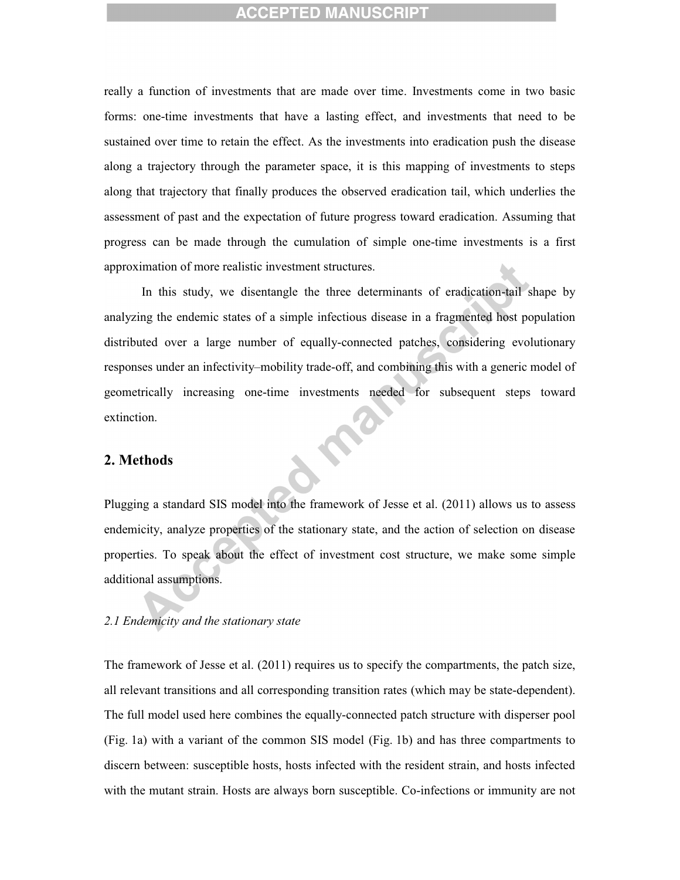really a function of investments that are made over time. Investments come in two basic forms: one-time investments that have a lasting effect, and investments that need to be sustained over time to retain the effect. As the investments into eradication push the disease along a trajectory through the parameter space, it is this mapping of investments to steps along that trajectory that finally produces the observed eradication tail, which underlies the assessment of past and the expectation of future progress toward eradication. Assuming that progress can be made through the cumulation of simple one-time investments is a first approximation of more realistic investment structures.

In this study, we disentangle the three determinants of eradication-tail shape by analyzing the endemic states of a simple infectious disease in a fragmented host population distributed over a large number of equally-connected patches, considering evolutionary responses under an infectivity–mobility trade-off, and combining this with a generic model of geometrically increasing one-time investments needed for subsequent steps toward extinction.

#### **2. Methods**

Plugging a standard SIS model into the framework of Jesse et al. (2011) allows us to assess endemicity, analyze properties of the stationary state, and the action of selection on disease properties. To speak about the effect of investment cost structure, we make some simple additional assumptions.

#### *2.1 Endemicity and the stationary state*

The framework of Jesse et al. (2011) requires us to specify the compartments, the patch size, all relevant transitions and all corresponding transition rates (which may be state-dependent). The full model used here combines the equally-connected patch structure with disperser pool (Fig. 1a) with a variant of the common SIS model (Fig. 1b) and has three compartments to discern between: susceptible hosts, hosts infected with the resident strain, and hosts infected with the mutant strain. Hosts are always born susceptible. Co-infections or immunity are not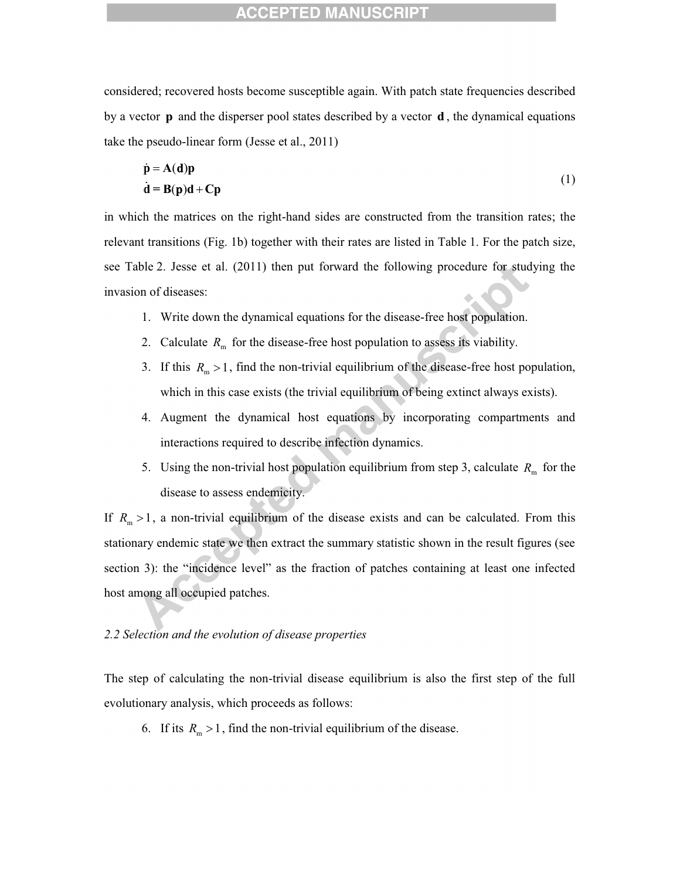considered; recovered hosts become susceptible again. With patch state frequencies described by a vector **p** and the disperser pool states described by a vector **d** , the dynamical equations take the pseudo-linear form (Jesse et al., 2011)

$$
\dot{\mathbf{p}} = \mathbf{A}(\underline{\mathbf{d}})\mathbf{p}
$$
  
\n
$$
\dot{\mathbf{d}} = \mathbf{B}(\mathbf{p})\mathbf{d} + \mathbf{C}\mathbf{p}
$$
 (1)

in which the matrices on the right-hand sides are constructed from the transition rates; the relevant transitions (Fig. 1b) together with their rates are listed in Table 1. For the patch size, see Table 2. Jesse et al. (2011) then put forward the following procedure for studying the invasion of diseases:

- 1. Write down the dynamical equations for the disease-free host population.
- 2. Calculate  $R_{\text{m}}$  for the disease-free host population to assess its viability.
- 3. If this  $R_m > 1$ , find the non-trivial equilibrium of the disease-free host population, which in this case exists (the trivial equilibrium of being extinct always exists).
- 4. Augment the dynamical host equations by incorporating compartments and interactions required to describe infection dynamics.
- 5. Using the non-trivial host population equilibrium from step 3, calculate  $R<sub>m</sub>$  for the disease to assess endemicity.

If  $R_m > 1$ , a non-trivial equilibrium of the disease exists and can be calculated. From this stationary endemic state we then extract the summary statistic shown in the result figures (see section 3): the "incidence level" as the fraction of patches containing at least one infected host among all occupied patches.

#### *2.2 Selection and the evolution of disease properties*

The step of calculating the non-trivial disease equilibrium is also the first step of the full evolutionary analysis, which proceeds as follows:

6. If its  $R_m > 1$ , find the non-trivial equilibrium of the disease.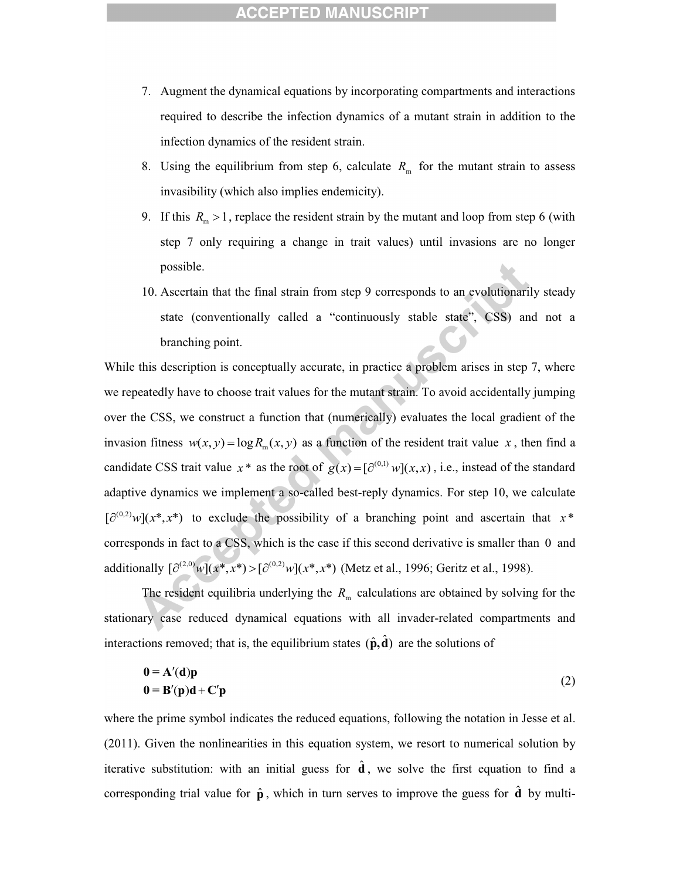- 7. Augment the dynamical equations by incorporating compartments and interactions required to describe the infection dynamics of a mutant strain in addition to the infection dynamics of the resident strain.
- 8. Using the equilibrium from step 6, calculate  $R<sub>m</sub>$  for the mutant strain to assess invasibility (which also implies endemicity).
- 9. If this  $R_m > 1$ , replace the resident strain by the mutant and loop from step 6 (with step 7 only requiring a change in trait values) until invasions are no longer possible.
- 10. Ascertain that the final strain from step 9 corresponds to an evolutionarily steady state (conventionally called a "continuously stable state", CSS) and not a branching point.

While this description is conceptually accurate, in practice a problem arises in step 7, where we repeatedly have to choose trait values for the mutant strain. To avoid accidentally jumping over the CSS, we construct a function that (numerically) evaluates the local gradient of the invasion fitness  $w(x, y) = \log R_m(x, y)$  as a function of the resident trait value *x*, then find a candidate CSS trait value  $x^*$  as the root of  $g(x) = [\partial^{(0,1)} w](x, x)$ , i.e., instead of the standard adaptive dynamics we implement a so-called best-reply dynamics. For step 10, we calculate  $\left[\partial^{(0,2)} w\right](x^*, x^*)$  to exclude the possibility of a branching point and ascertain that  $x^*$ corresponds in fact to a CSS, which is the case if this second derivative is smaller than 0 and additionally  $\left[\partial^{(2,0)}w\right](x^*,x^*) > \left[\partial^{(0,2)}w\right](x^*,x^*)$  (Metz et al., 1996; Geritz et al., 1998).

The resident equilibria underlying the  $R<sub>m</sub>$  calculations are obtained by solving for the stationary case reduced dynamical equations with all invader-related compartments and interactions removed; that is, the equilibrium states  $(\hat{\mathbf{p}}, \hat{\mathbf{d}})$  are the solutions of

$$
0 = A'(d)p
$$
  
0 = B'(p)d + C'p (2)

where the prime symbol indicates the reduced equations, following the notation in Jesse et al. (2011). Given the nonlinearities in this equation system, we resort to numerical solution by iterative substitution: with an initial guess for  $\hat{d}$ , we solve the first equation to find a corresponding trial value for  $\hat{\mathbf{p}}$ , which in turn serves to improve the guess for  $\hat{\mathbf{d}}$  by multi-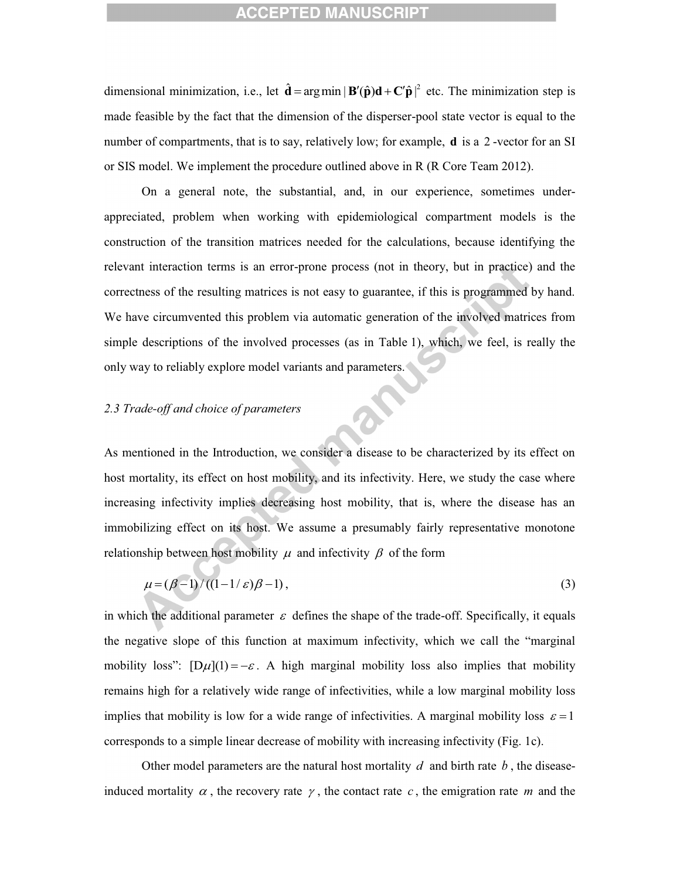dimensional minimization, i.e., let  $\hat{\mathbf{d}} = \arg \min |\mathbf{B}'(\hat{\mathbf{p}})\mathbf{d} + \mathbf{C}'\hat{\mathbf{p}}|^2$  etc. The minimization step is made feasible by the fact that the dimension of the disperser-pool state vector is equal to the number of compartments, that is to say, relatively low; for example, **d** is a 2 -vector for an SI or SIS model. We implement the procedure outlined above in R (R Core Team 2012).

On a general note, the substantial, and, in our experience, sometimes underappreciated, problem when working with epidemiological compartment models is the construction of the transition matrices needed for the calculations, because identifying the relevant interaction terms is an error-prone process (not in theory, but in practice) and the correctness of the resulting matrices is not easy to guarantee, if this is programmed by hand. We have circumvented this problem via automatic generation of the involved matrices from simple descriptions of the involved processes (as in Table 1), which, we feel, is really the only way to reliably explore model variants and parameters.

#### *2.3 Trade-off and choice of parameters*

As mentioned in the Introduction, we consider a disease to be characterized by its effect on host mortality, its effect on host mobility, and its infectivity. Here, we study the case where increasing infectivity implies decreasing host mobility, that is, where the disease has an immobilizing effect on its host. We assume a presumably fairly representative monotone relationship between host mobility  $\mu$  and infectivity  $\beta$  of the form

$$
\mu = (\beta - 1)/((1 - 1/\varepsilon)\beta - 1),\tag{3}
$$

in which the additional parameter  $\varepsilon$  defines the shape of the trade-off. Specifically, it equals the negative slope of this function at maximum infectivity, which we call the "marginal mobility loss":  $[D\mu](1) = -\varepsilon$ . A high marginal mobility loss also implies that mobility remains high for a relatively wide range of infectivities, while a low marginal mobility loss implies that mobility is low for a wide range of infectivities. A marginal mobility loss  $\varepsilon = 1$ corresponds to a simple linear decrease of mobility with increasing infectivity (Fig. 1c).

Other model parameters are the natural host mortality  $d$  and birth rate  $b$ , the diseaseinduced mortality  $\alpha$ , the recovery rate  $\gamma$ , the contact rate c, the emigration rate m and the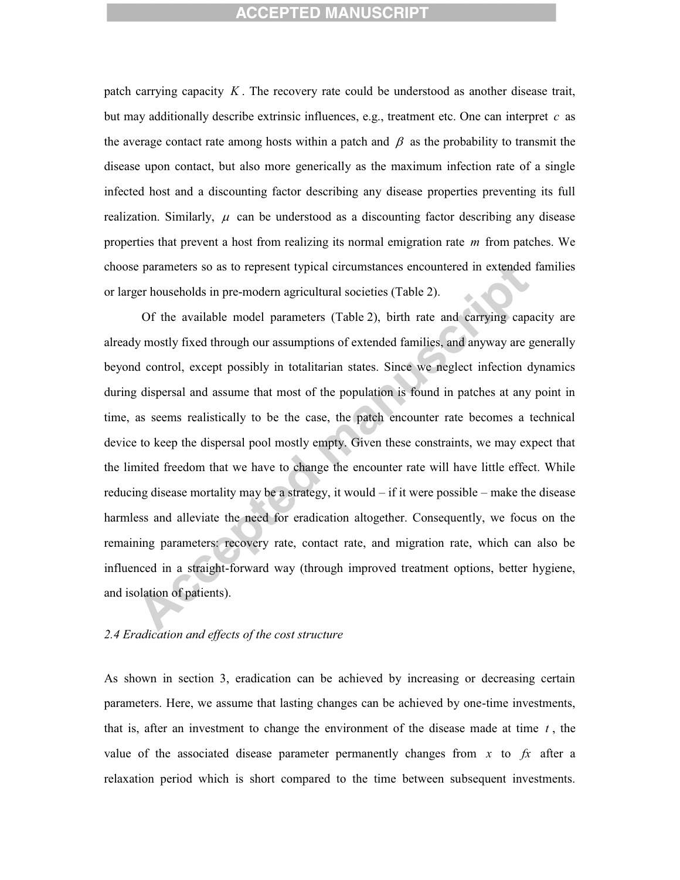patch carrying capacity *K* . The recovery rate could be understood as another disease trait, but may additionally describe extrinsic influences, e.g., treatment etc. One can interpret *c* as the average contact rate among hosts within a patch and  $\beta$  as the probability to transmit the disease upon contact, but also more generically as the maximum infection rate of a single infected host and a discounting factor describing any disease properties preventing its full realization. Similarly,  $\mu$  can be understood as a discounting factor describing any disease properties that prevent a host from realizing its normal emigration rate *m* from patches. We choose parameters so as to represent typical circumstances encountered in extended families or larger households in pre-modern agricultural societies (Table 2).

Of the available model parameters (Table 2), birth rate and carrying capacity are already mostly fixed through our assumptions of extended families, and anyway are generally beyond control, except possibly in totalitarian states. Since we neglect infection dynamics during dispersal and assume that most of the population is found in patches at any point in time, as seems realistically to be the case, the patch encounter rate becomes a technical device to keep the dispersal pool mostly empty. Given these constraints, we may expect that the limited freedom that we have to change the encounter rate will have little effect. While reducing disease mortality may be a strategy, it would  $-$  if it were possible – make the disease harmless and alleviate the need for eradication altogether. Consequently, we focus on the remaining parameters: recovery rate, contact rate, and migration rate, which can also be influenced in a straight-forward way (through improved treatment options, better hygiene, and isolation of patients).

#### *2.4 Eradication and effects of the cost structure*

As shown in section 3, eradication can be achieved by increasing or decreasing certain parameters. Here, we assume that lasting changes can be achieved by one-time investments, that is, after an investment to change the environment of the disease made at time  $t$ , the value of the associated disease parameter permanently changes from  $x$  to  $fx$  after a relaxation period which is short compared to the time between subsequent investments.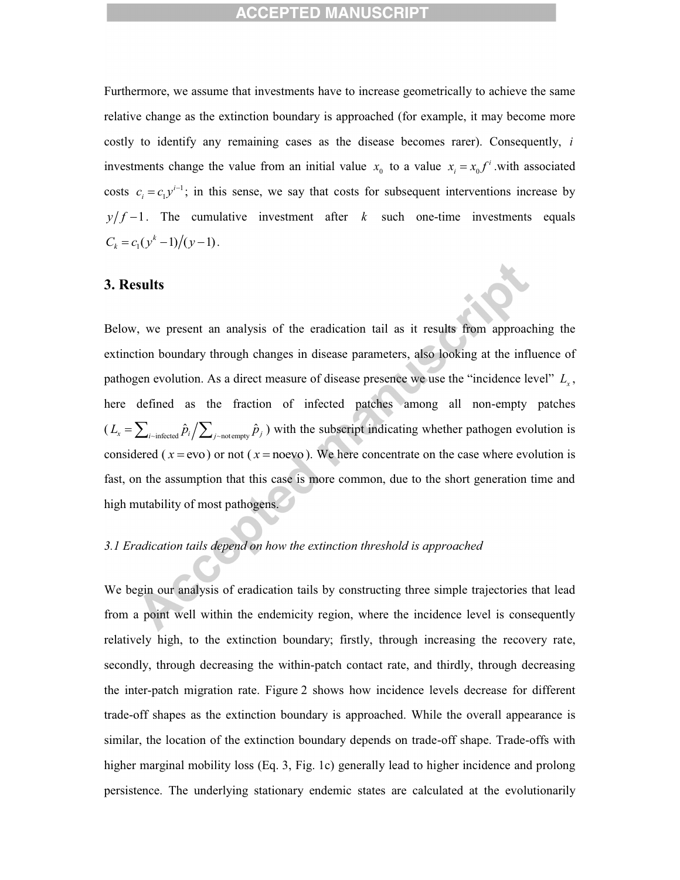Furthermore, we assume that investments have to increase geometrically to achieve the same relative change as the extinction boundary is approached (for example, it may become more costly to identify any remaining cases as the disease becomes rarer). Consequently, *i* investments change the value from an initial value  $x_0$  to a value  $x_i = x_0 f^i$  with associated costs  $c_i = c_1 y^{i-1}$ ; in this sense, we say that costs for subsequent interventions increase by  $y/f-1$ . The cumulative investment after *k* such one-time investments equals  $C_k = c_1(y^k - 1)/(y - 1)$ .

#### **3. Results**

Below, we present an analysis of the eradication tail as it results from approaching the extinction boundary through changes in disease parameters, also looking at the influence of pathogen evolution. As a direct measure of disease presence we use the "incidence level" *L<sup>x</sup>* , here defined as the fraction of infected patches among all non-empty patches  $(L_x = \sum_{i \sim \text{infected}} \hat{p}_i / \sum_{j \sim \text{not empty}} \hat{p}_j)$  with the subscript indicating whether pathogen evolution is considered ( $x = evo$ ) or not ( $x = noevo$ ). We here concentrate on the case where evolution is fast, on the assumption that this case is more common, due to the short generation time and high mutability of most pathogens.

## *3.1 Eradication tails depend on how the extinction threshold is approached*

We begin our analysis of eradication tails by constructing three simple trajectories that lead from a point well within the endemicity region, where the incidence level is consequently relatively high, to the extinction boundary; firstly, through increasing the recovery rate, secondly, through decreasing the within-patch contact rate, and thirdly, through decreasing the inter-patch migration rate. Figure 2 shows how incidence levels decrease for different trade-off shapes as the extinction boundary is approached. While the overall appearance is similar, the location of the extinction boundary depends on trade-off shape. Trade-offs with higher marginal mobility loss (Eq. 3, Fig. 1c) generally lead to higher incidence and prolong persistence. The underlying stationary endemic states are calculated at the evolutionarily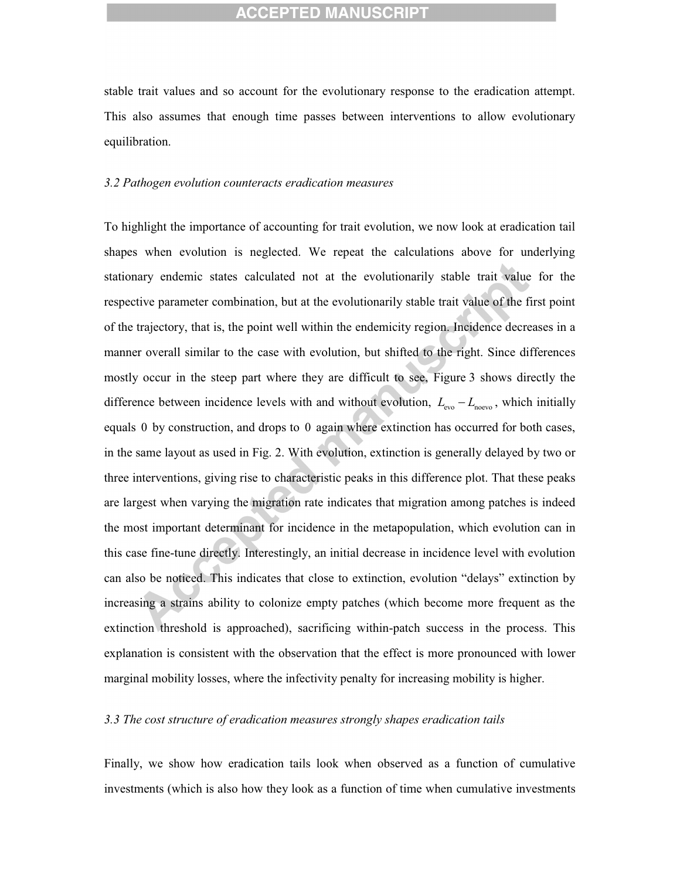stable trait values and so account for the evolutionary response to the eradication attempt. This also assumes that enough time passes between interventions to allow evolutionary equilibration.

#### *3.2 Pathogen evolution counteracts eradication measures*

To highlight the importance of accounting for trait evolution, we now look at eradication tail shapes when evolution is neglected. We repeat the calculations above for underlying stationary endemic states calculated not at the evolutionarily stable trait value for the respective parameter combination, but at the evolutionarily stable trait value of the first point of the trajectory, that is, the point well within the endemicity region. Incidence decreases in a manner overall similar to the case with evolution, but shifted to the right. Since differences mostly occur in the steep part where they are difficult to see, Figure 3 shows directly the difference between incidence levels with and without evolution,  $L_{\text{evo}} - L_{\text{nevo}}$ , which initially equals 0 by construction, and drops to 0 again where extinction has occurred for both cases, in the same layout as used in Fig. 2. With evolution, extinction is generally delayed by two or three interventions, giving rise to characteristic peaks in this difference plot. That these peaks are largest when varying the migration rate indicates that migration among patches is indeed the most important determinant for incidence in the metapopulation, which evolution can in this case fine-tune directly. Interestingly, an initial decrease in incidence level with evolution can also be noticed. This indicates that close to extinction, evolution "delays" extinction by increasing a strains ability to colonize empty patches (which become more frequent as the extinction threshold is approached), sacrificing within-patch success in the process. This explanation is consistent with the observation that the effect is more pronounced with lower marginal mobility losses, where the infectivity penalty for increasing mobility is higher.

#### *3.3 The cost structure of eradication measures strongly shapes eradication tails*

Finally, we show how eradication tails look when observed as a function of cumulative investments (which is also how they look as a function of time when cumulative investments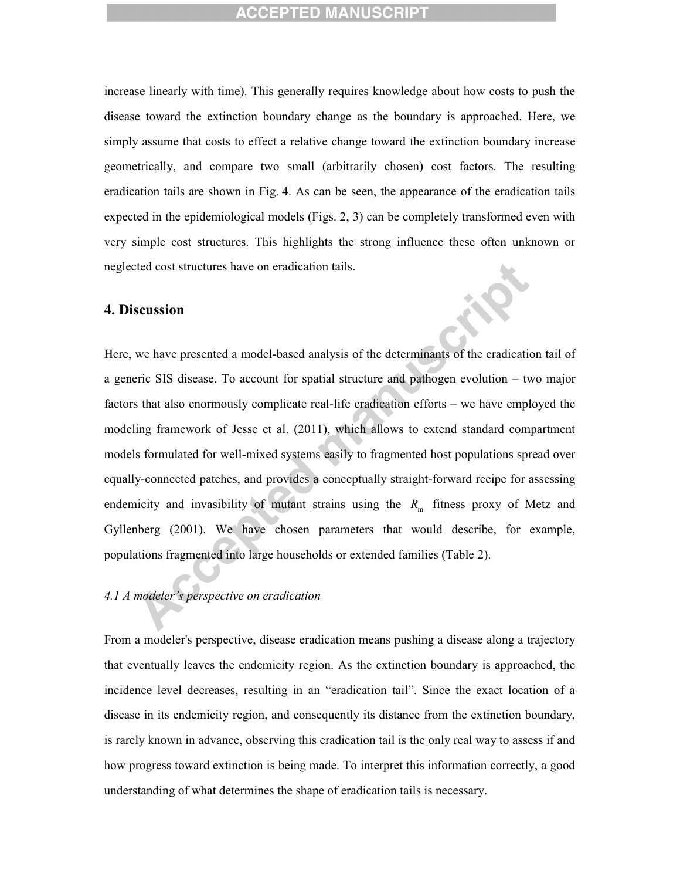increase linearly with time). This generally requires knowledge about how costs to push the disease toward the extinction boundary change as the boundary is approached. Here, we simply assume that costs to effect a relative change toward the extinction boundary increase geometrically, and compare two small (arbitrarily chosen) cost factors. The resulting eradication tails are shown in Fig. 4. As can be seen, the appearance of the eradication tails expected in the epidemiological models (Figs. 2, 3) can be completely transformed even with very simple cost structures. This highlights the strong influence these often unknown or neglected cost structures have on eradication tails.

#### **4. Discussion**

Here, we have presented a model-based analysis of the determinants of the eradication tail of a generic SIS disease. To account for spatial structure and pathogen evolution – two major factors that also enormously complicate real-life eradication efforts – we have employed the modeling framework of Jesse et al. (2011), which allows to extend standard compartment models formulated for well-mixed systems easily to fragmented host populations spread over equally-connected patches, and provides a conceptually straight-forward recipe for assessing endemicity and invasibility of mutant strains using the  $R<sub>m</sub>$  fitness proxy of Metz and Gyllenberg (2001). We have chosen parameters that would describe, for example, populations fragmented into large households or extended families (Table 2).

# *4.1 A modeler's perspective on eradication*

From a modeler's perspective, disease eradication means pushing a disease along a trajectory that eventually leaves the endemicity region. As the extinction boundary is approached, the incidence level decreases, resulting in an "eradication tail". Since the exact location of a disease in its endemicity region, and consequently its distance from the extinction boundary, is rarely known in advance, observing this eradication tail is the only real way to assess if and how progress toward extinction is being made. To interpret this information correctly, a good understanding of what determines the shape of eradication tails is necessary.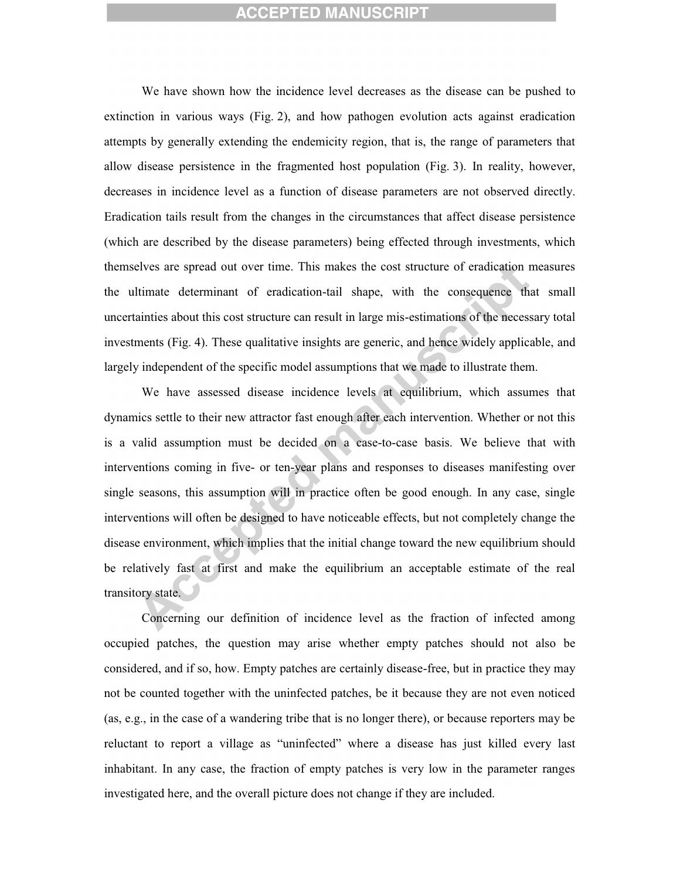We have shown how the incidence level decreases as the disease can be pushed to extinction in various ways (Fig. 2), and how pathogen evolution acts against eradication attempts by generally extending the endemicity region, that is, the range of parameters that allow disease persistence in the fragmented host population (Fig. 3). In reality, however, decreases in incidence level as a function of disease parameters are not observed directly. Eradication tails result from the changes in the circumstances that affect disease persistence (which are described by the disease parameters) being effected through investments, which themselves are spread out over time. This makes the cost structure of eradication measures the ultimate determinant of eradication-tail shape, with the consequence that small uncertainties about this cost structure can result in large mis-estimations of the necessary total investments (Fig. 4). These qualitative insights are generic, and hence widely applicable, and largely independent of the specific model assumptions that we made to illustrate them.

We have assessed disease incidence levels at equilibrium, which assumes that dynamics settle to their new attractor fast enough after each intervention. Whether or not this is a valid assumption must be decided on a case-to-case basis. We believe that with interventions coming in five- or ten-year plans and responses to diseases manifesting over single seasons, this assumption will in practice often be good enough. In any case, single interventions will often be designed to have noticeable effects, but not completely change the disease environment, which implies that the initial change toward the new equilibrium should be relatively fast at first and make the equilibrium an acceptable estimate of the real transitory state.

Concerning our definition of incidence level as the fraction of infected among occupied patches, the question may arise whether empty patches should not also be considered, and if so, how. Empty patches are certainly disease-free, but in practice they may not be counted together with the uninfected patches, be it because they are not even noticed (as, e.g., in the case of a wandering tribe that is no longer there), or because reporters may be reluctant to report a village as "uninfected" where a disease has just killed every last inhabitant. In any case, the fraction of empty patches is very low in the parameter ranges investigated here, and the overall picture does not change if they are included.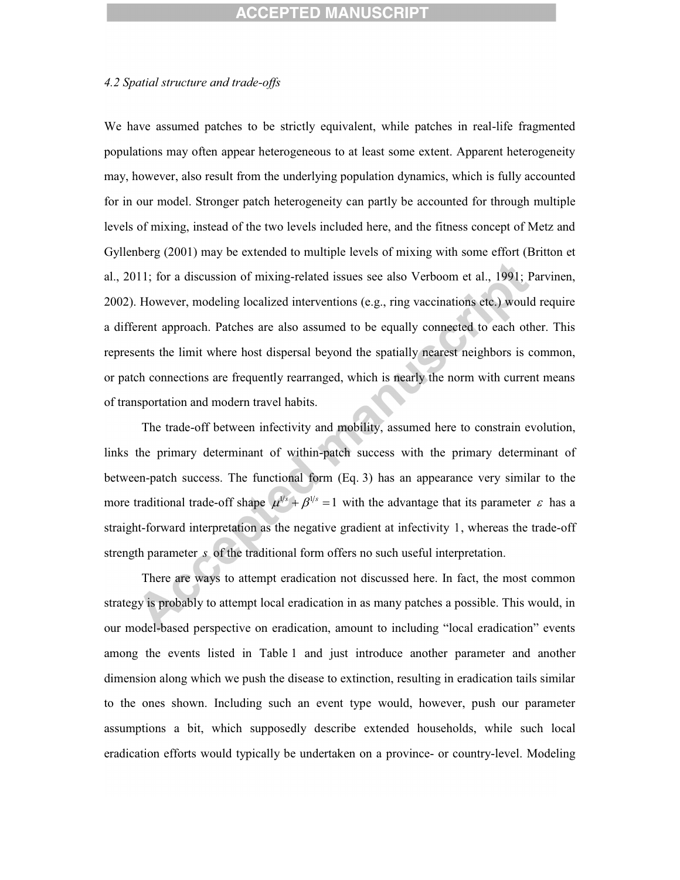#### *4.2 Spatial structure and trade-offs*

We have assumed patches to be strictly equivalent, while patches in real-life fragmented populations may often appear heterogeneous to at least some extent. Apparent heterogeneity may, however, also result from the underlying population dynamics, which is fully accounted for in our model. Stronger patch heterogeneity can partly be accounted for through multiple levels of mixing, instead of the two levels included here, and the fitness concept of Metz and Gyllenberg (2001) may be extended to multiple levels of mixing with some effort (Britton et al., 2011; for a discussion of mixing-related issues see also Verboom et al., 1991; Parvinen, 2002). However, modeling localized interventions (e.g., ring vaccinations etc.) would require a different approach. Patches are also assumed to be equally connected to each other. This represents the limit where host dispersal beyond the spatially nearest neighbors is common, or patch connections are frequently rearranged, which is nearly the norm with current means of transportation and modern travel habits.

The trade-off between infectivity and mobility, assumed here to constrain evolution, links the primary determinant of within-patch success with the primary determinant of between-patch success. The functional form (Eq. 3) has an appearance very similar to the more traditional trade-off shape  $\mu^{1/s} + \beta^{1/s} = 1$  with the advantage that its parameter  $\varepsilon$  has a straight-forward interpretation as the negative gradient at infectivity 1, whereas the trade-off strength parameter *s* of the traditional form offers no such useful interpretation.

There are ways to attempt eradication not discussed here. In fact, the most common strategy is probably to attempt local eradication in as many patches a possible. This would, in our model-based perspective on eradication, amount to including "local eradication" events among the events listed in Table 1 and just introduce another parameter and another dimension along which we push the disease to extinction, resulting in eradication tails similar to the ones shown. Including such an event type would, however, push our parameter assumptions a bit, which supposedly describe extended households, while such local eradication efforts would typically be undertaken on a province- or country-level. Modeling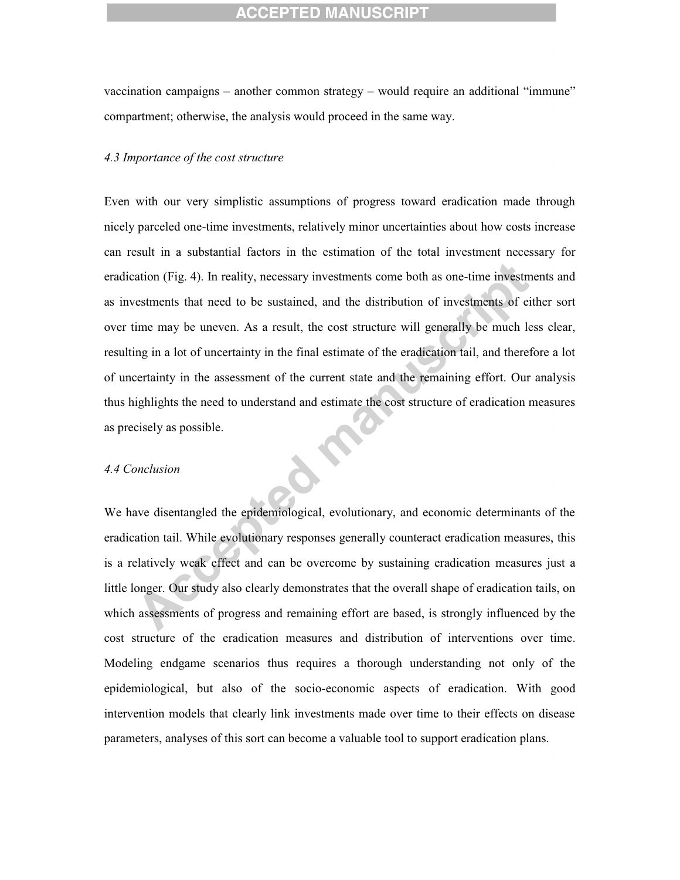vaccination campaigns – another common strategy – would require an additional "immune" compartment; otherwise, the analysis would proceed in the same way.

#### *4.3 Importance of the cost structure*

Even with our very simplistic assumptions of progress toward eradication made through nicely parceled one-time investments, relatively minor uncertainties about how costs increase can result in a substantial factors in the estimation of the total investment necessary for eradication (Fig. 4). In reality, necessary investments come both as one-time investments and as investments that need to be sustained, and the distribution of investments of either sort over time may be uneven. As a result, the cost structure will generally be much less clear, resulting in a lot of uncertainty in the final estimate of the eradication tail, and therefore a lot of uncertainty in the assessment of the current state and the remaining effort. Our analysis thus highlights the need to understand and estimate the cost structure of eradication measures as precisely as possible.

#### *4.4 Conclusion*

We have disentangled the epidemiological, evolutionary, and economic determinants of the eradication tail. While evolutionary responses generally counteract eradication measures, this is a relatively weak effect and can be overcome by sustaining eradication measures just a little longer. Our study also clearly demonstrates that the overall shape of eradication tails, on which assessments of progress and remaining effort are based, is strongly influenced by the cost structure of the eradication measures and distribution of interventions over time. Modeling endgame scenarios thus requires a thorough understanding not only of the epidemiological, but also of the socio-economic aspects of eradication. With good intervention models that clearly link investments made over time to their effects on disease parameters, analyses of this sort can become a valuable tool to support eradication plans.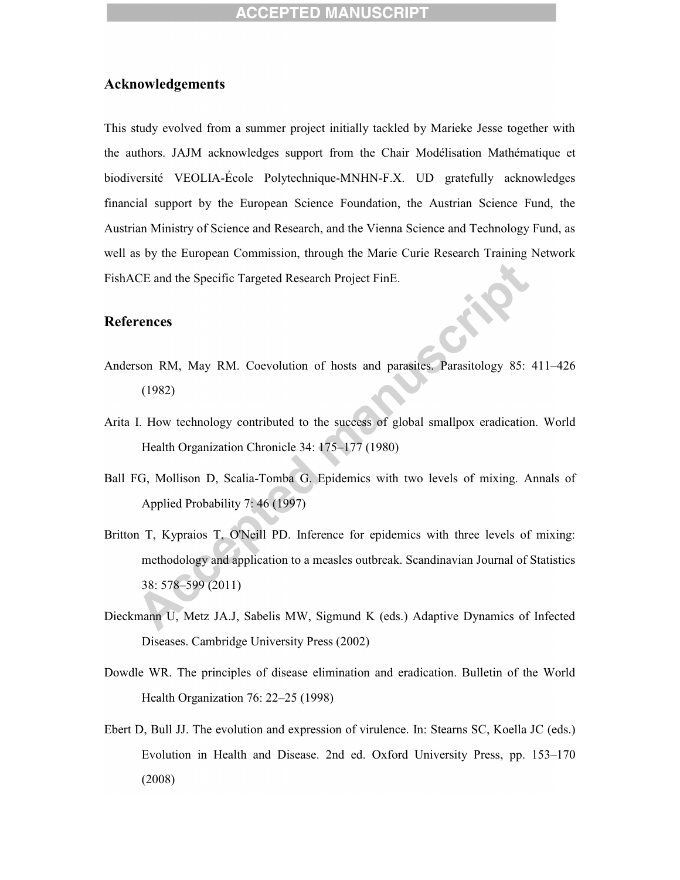#### **Acknowledgements**

This study evolved from a summer project initially tackled by Marieke Jesse together with the authors. JAJM acknowledges support from the Chair Modélisation Mathématique et biodiversité VEOLIA-École Polytechnique-MNHN-F.X. UD gratefully acknowledges financial support by the European Science Foundation, the Austrian Science Fund, the Austrian Ministry of Science and Research, and the Vienna Science and Technology Fund, as well as by the European Commission, through the Marie Curie Research Training Network FishACE and the Specific Targeted Research Project FinE.

#### **References**

- Anderson RM, May RM. Coevolution of hosts and parasites. Parasitology 85: 411–426 (1982)
- Arita I. How technology contributed to the success of global smallpox eradication. World Health Organization Chronicle 34: 175–177 (1980)
- Ball FG, Mollison D, Scalia-Tomba G. Epidemics with two levels of mixing. Annals of Applied Probability 7: 46 (1997)
- Britton T, Kypraios T, O'Neill PD. Inference for epidemics with three levels of mixing: methodology and application to a measles outbreak. Scandinavian Journal of Statistics 38: 578–599 (2011)
- Dieckmann U, Metz JA.J, Sabelis MW, Sigmund K (eds.) Adaptive Dynamics of Infected Diseases. Cambridge University Press (2002)
- Dowdle WR. The principles of disease elimination and eradication. Bulletin of the World Health Organization 76: 22–25 (1998)
- Ebert D, Bull JJ. The evolution and expression of virulence. In: Stearns SC, Koella JC (eds.) Evolution in Health and Disease. 2nd ed. Oxford University Press, pp. 153–170 (2008)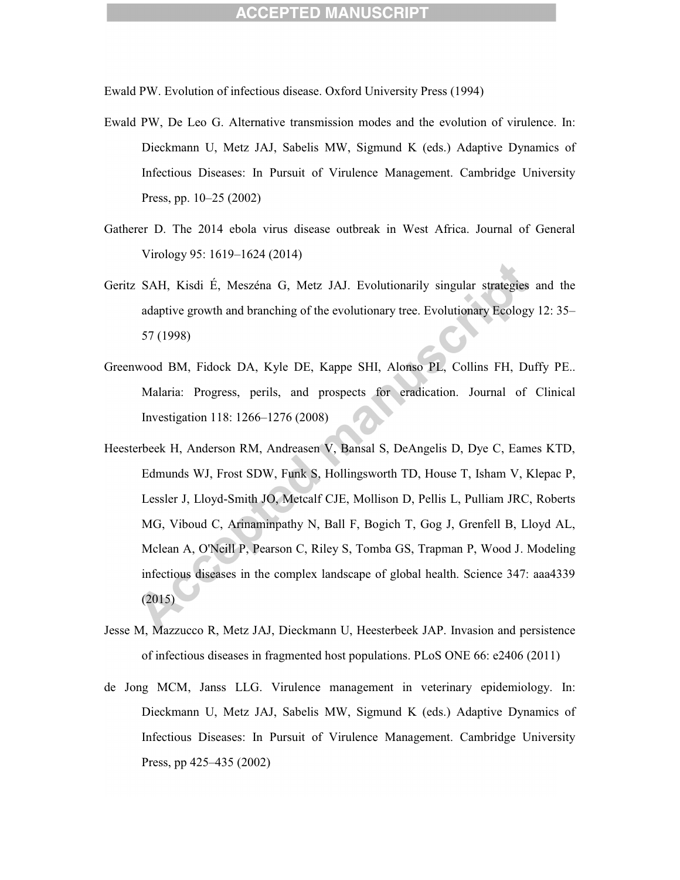Ewald PW. Evolution of infectious disease. Oxford University Press (1994)

- Ewald PW, De Leo G. Alternative transmission modes and the evolution of virulence. In: Dieckmann U, Metz JAJ, Sabelis MW, Sigmund K (eds.) Adaptive Dynamics of Infectious Diseases: In Pursuit of Virulence Management. Cambridge University Press, pp. 10–25 (2002)
- Gatherer D. The 2014 ebola virus disease outbreak in West Africa. Journal of General Virology 95: 1619–1624 (2014)
- Geritz SAH, Kisdi É, Meszéna G, Metz JAJ. Evolutionarily singular strategies and the adaptive growth and branching of the evolutionary tree. Evolutionary Ecology 12: 35– 57 (1998)
- Greenwood BM, Fidock DA, Kyle DE, Kappe SHI, Alonso PL, Collins FH, Duffy PE.. Malaria: Progress, perils, and prospects for eradication. Journal of Clinical Investigation 118: 1266–1276 (2008)
- Heesterbeek H, Anderson RM, Andreasen V, Bansal S, DeAngelis D, Dye C, Eames KTD, Edmunds WJ, Frost SDW, Funk S, Hollingsworth TD, House T, Isham V, Klepac P, Lessler J, Lloyd-Smith JO, Metcalf CJE, Mollison D, Pellis L, Pulliam JRC, Roberts MG, Viboud C, Arinaminpathy N, Ball F, Bogich T, Gog J, Grenfell B, Lloyd AL, Mclean A, O'Neill P, Pearson C, Riley S, Tomba GS, Trapman P, Wood J. Modeling infectious diseases in the complex landscape of global health. Science 347: aaa4339 (2015)
- Jesse M, Mazzucco R, Metz JAJ, Dieckmann U, Heesterbeek JAP. Invasion and persistence of infectious diseases in fragmented host populations. PLoS ONE 66: e2406 (2011)
- de Jong MCM, Janss LLG. Virulence management in veterinary epidemiology. In: Dieckmann U, Metz JAJ, Sabelis MW, Sigmund K (eds.) Adaptive Dynamics of Infectious Diseases: In Pursuit of Virulence Management. Cambridge University Press, pp 425–435 (2002)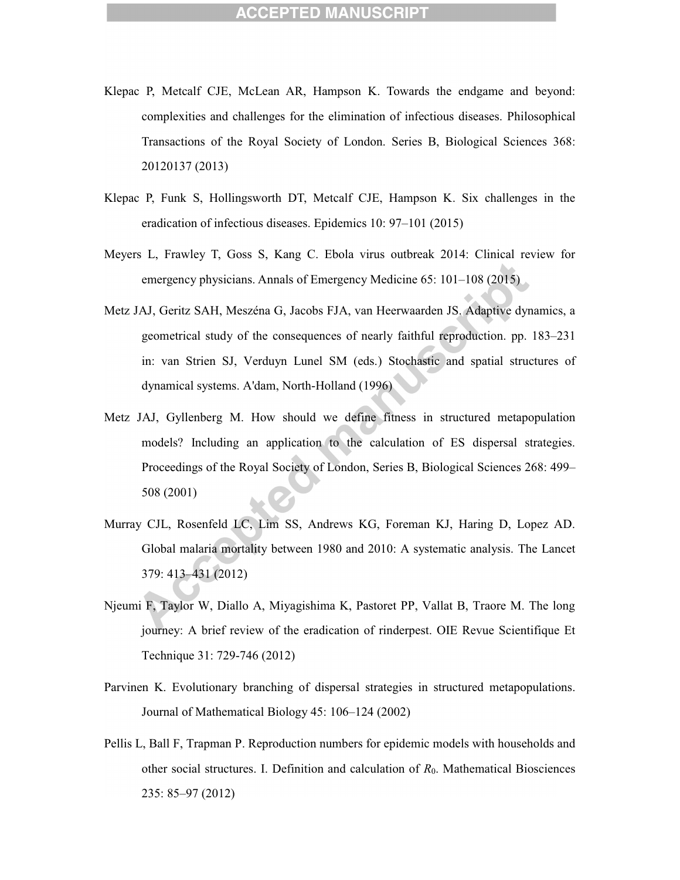- Klepac P, Metcalf CJE, McLean AR, Hampson K. Towards the endgame and beyond: complexities and challenges for the elimination of infectious diseases. Philosophical Transactions of the Royal Society of London. Series B, Biological Sciences 368: 20120137 (2013)
- Klepac P, Funk S, Hollingsworth DT, Metcalf CJE, Hampson K. Six challenges in the eradication of infectious diseases. Epidemics 10: 97–101 (2015)
- Meyers L, Frawley T, Goss S, Kang C. Ebola virus outbreak 2014: Clinical review for emergency physicians. Annals of Emergency Medicine 65: 101–108 (2015)
- Metz JAJ, Geritz SAH, Meszéna G, Jacobs FJA, van Heerwaarden JS. Adaptive dynamics, a geometrical study of the consequences of nearly faithful reproduction. pp. 183–231 in: van Strien SJ, Verduyn Lunel SM (eds.) Stochastic and spatial structures of dynamical systems. A'dam, North-Holland (1996)
- Metz JAJ, Gyllenberg M. How should we define fitness in structured metapopulation models? Including an application to the calculation of ES dispersal strategies. Proceedings of the Royal Society of London, Series B, Biological Sciences 268: 499– 508 (2001)
- Murray CJL, Rosenfeld LC, Lim SS, Andrews KG, Foreman KJ, Haring D, Lopez AD. Global malaria mortality between 1980 and 2010: A systematic analysis. The Lancet 379: 413–431 (2012)
- Njeumi F, Taylor W, Diallo A, Miyagishima K, Pastoret PP, Vallat B, Traore M. The long journey: A brief review of the eradication of rinderpest. OIE Revue Scientifique Et Technique 31: 729-746 (2012)
- Parvinen K. Evolutionary branching of dispersal strategies in structured metapopulations. Journal of Mathematical Biology 45: 106–124 (2002)
- Pellis L, Ball F, Trapman P. Reproduction numbers for epidemic models with households and other social structures. I. Definition and calculation of *R*0. Mathematical Biosciences 235: 85–97 (2012)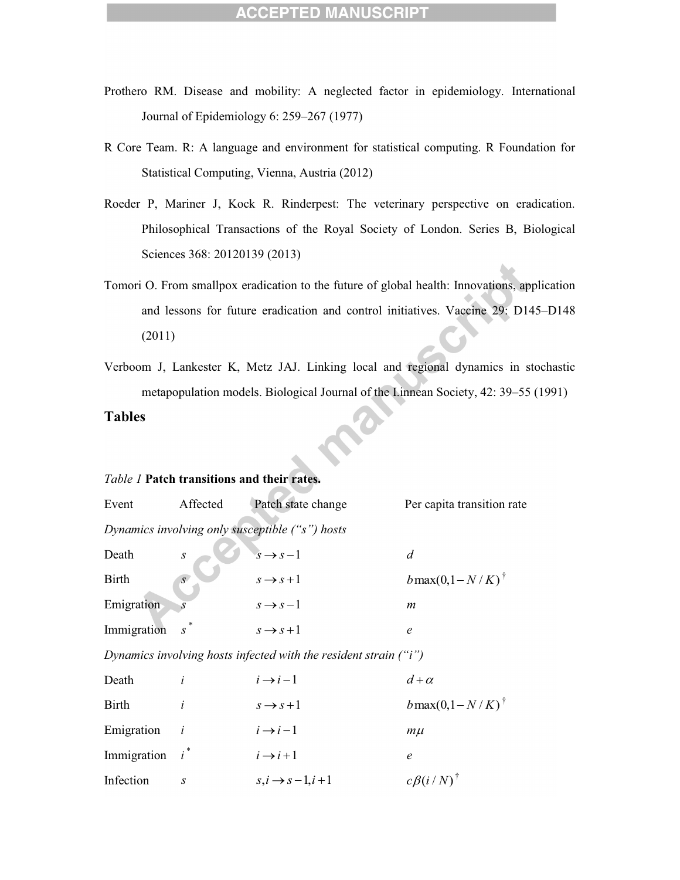- Prothero RM. Disease and mobility: A neglected factor in epidemiology. International Journal of Epidemiology 6: 259–267 (1977)
- R Core Team. R: A language and environment for statistical computing. R Foundation for Statistical Computing, Vienna, Austria (2012)
- Roeder P, Mariner J, Kock R. Rinderpest: The veterinary perspective on eradication. Philosophical Transactions of the Royal Society of London. Series B, Biological Sciences 368: 20120139 (2013)
- Tomori O. From smallpox eradication to the future of global health: Innovations, application and lessons for future eradication and control initiatives. Vaccine 29: D145–D148 (2011)
- Verboom J, Lankester K, Metz JAJ. Linking local and regional dynamics in stochastic metapopulation models. Biological Journal of the I.innean Society, 42: 39–55 (1991)

**Tables** 

#### *Table 1* **Patch transitions and their rates.**

| Event                                                            | Affected         | Patch state change          | Per capita transition rate       |  |  |  |
|------------------------------------------------------------------|------------------|-----------------------------|----------------------------------|--|--|--|
| Dynamics involving only susceptible ("s") hosts                  |                  |                             |                                  |  |  |  |
| Death                                                            | $\boldsymbol{S}$ | $s \rightarrow s-1$         | $\overline{d}$                   |  |  |  |
| <b>Birth</b>                                                     | $\overline{S}$   | $s \rightarrow s+1$         | $b$ max $(0,1-N/K)$ <sup>†</sup> |  |  |  |
| Emigration                                                       |                  | $s \rightarrow s-1$         | $\boldsymbol{m}$                 |  |  |  |
| Immigration                                                      | $s^*$            | $s \rightarrow s+1$         | $\epsilon$                       |  |  |  |
| Dynamics involving hosts infected with the resident strain ("i") |                  |                             |                                  |  |  |  |
| Death                                                            | i                | $i \rightarrow i-1$         | $d + \alpha$                     |  |  |  |
| <b>Birth</b>                                                     | i                | $s \rightarrow s+1$         | $b$ max $(0,1-N/K)$ <sup>†</sup> |  |  |  |
| Emigration                                                       | i                | $i \rightarrow i-1$         | $m\mu$                           |  |  |  |
| Immigration                                                      | $i^*$            | $i \rightarrow i+1$         | $\epsilon$                       |  |  |  |
| Infection                                                        | $\boldsymbol{S}$ | $s, i \rightarrow s-1, i+1$ | $c\beta(i/N)$ <sup>†</sup>       |  |  |  |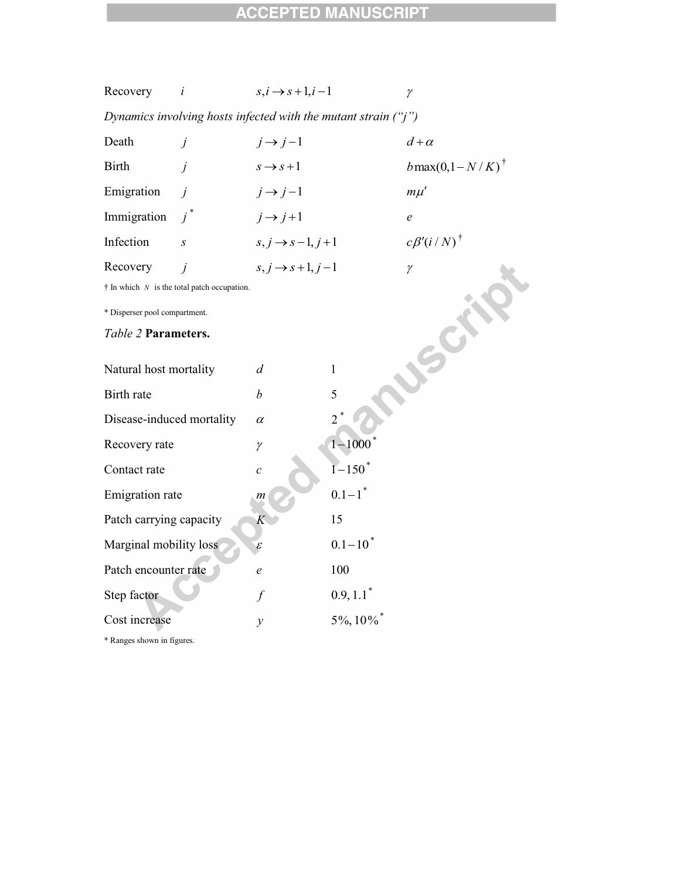| Recovery                                                          | i                | $s, i \rightarrow s+1, i-1$ |                        | $\gamma$                         |  |  |  |
|-------------------------------------------------------------------|------------------|-----------------------------|------------------------|----------------------------------|--|--|--|
| Dynamics involving hosts infected with the mutant strain $('j'')$ |                  |                             |                        |                                  |  |  |  |
| Death                                                             | j                | $j \rightarrow j-1$         |                        | $d + \alpha$                     |  |  |  |
| Birth                                                             | $\dot{I}$        | $s \rightarrow s+1$         |                        | $b$ max $(0,1-N/K)$ <sup>†</sup> |  |  |  |
| Emigration                                                        | $\dot{I}$        | $j \rightarrow j-1$         |                        | $m\mu'$                          |  |  |  |
| Immigration                                                       | $i^*$            | $j \rightarrow j+1$         |                        | $\mathfrak{e}$                   |  |  |  |
| Infection                                                         | $\boldsymbol{S}$ | $s, j \rightarrow s-1, j+1$ |                        | $c\beta'(i/N)^{\dagger}$         |  |  |  |
| Recovery                                                          | $\dot{I}$        | $s, j \rightarrow s+1, j-1$ |                        | $\gamma$                         |  |  |  |
| $\dagger$ In which $N$ is the total patch occupation.             |                  |                             |                        |                                  |  |  |  |
| * Disperser pool compartment.                                     |                  |                             |                        |                                  |  |  |  |
| Table 2 Parameters.<br>56                                         |                  |                             |                        |                                  |  |  |  |
| Natural host mortality                                            |                  | $\overline{d}$              | $\mathbf{1}$           |                                  |  |  |  |
| Birth rate                                                        |                  | $\boldsymbol{b}$            | 5                      |                                  |  |  |  |
| Disease-induced mortality                                         |                  | $\alpha$                    | $\overline{2}$         |                                  |  |  |  |
| Recovery rate                                                     |                  | $\gamma$                    | $1 - 1000$             |                                  |  |  |  |
| Contact rate                                                      |                  | $\mathcal C$                | $1 - 150^*$            |                                  |  |  |  |
| <b>Emigration</b> rate                                            |                  | m                           | $0.1 - 1$ <sup>*</sup> |                                  |  |  |  |
| Patch carrying capacity                                           |                  | K                           | 15                     |                                  |  |  |  |
| Marginal mobility loss                                            |                  | $\mathcal E$                | $0.1 - 10^*$           |                                  |  |  |  |
| Patch encounter rate                                              |                  | $\epsilon$                  | 100                    |                                  |  |  |  |
| Step factor                                                       |                  | $\int$                      | $0.9, 1.1^*$           |                                  |  |  |  |
| Cost increase                                                     |                  | $\mathcal{Y}$               | $5\%, 10\%$            |                                  |  |  |  |
| $*$ n.                                                            |                  |                             |                        |                                  |  |  |  |

\* Ranges shown in figures.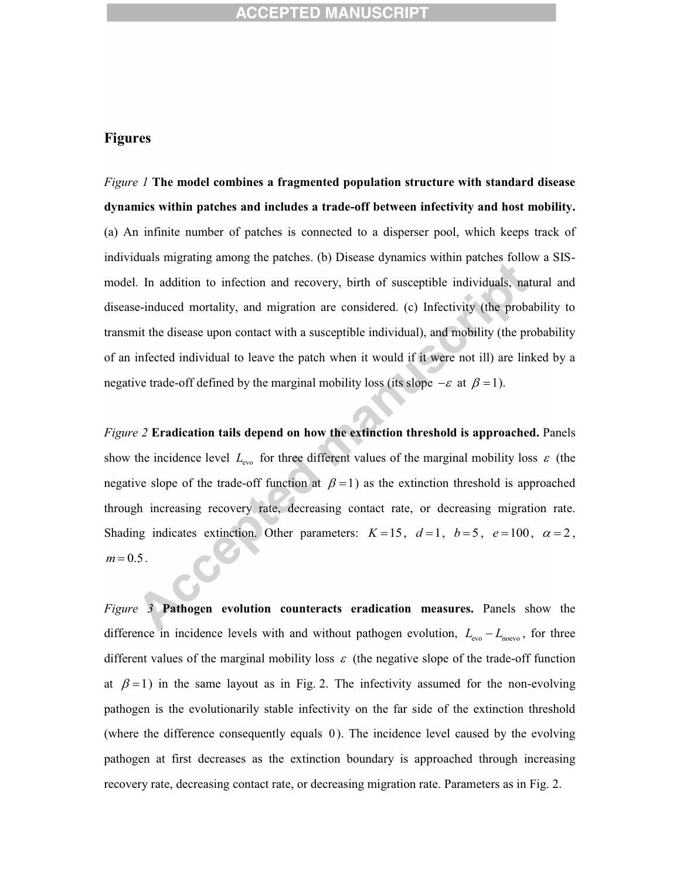#### **Figures**

*Figure 1* **The model combines a fragmented population structure with standard disease dynamics within patches and includes a trade-off between infectivity and host mobility.**  (a) An infinite number of patches is connected to a disperser pool, which keeps track of individuals migrating among the patches. (b) Disease dynamics within patches follow a SISmodel. In addition to infection and recovery, birth of susceptible individuals, natural and disease-induced mortality, and migration are considered. (c) Infectivity (the probability to transmit the disease upon contact with a susceptible individual), and mobility (the probability of an infected individual to leave the patch when it would if it were not ill) are linked by a negative trade-off defined by the marginal mobility loss (its slope  $-\varepsilon$  at  $\beta = 1$ ).

*Figure 2* **Eradication tails depend on how the extinction threshold is approached.** Panels show the incidence level  $L_{\text{evo}}$  for three different values of the marginal mobility loss  $\varepsilon$  (the negative slope of the trade-off function at  $\beta = 1$ ) as the extinction threshold is approached through increasing recovery rate, decreasing contact rate, or decreasing migration rate. Shading indicates extinction. Other parameters:  $K=15$ ,  $d=1$ ,  $b=5$ ,  $e=100$ ,  $\alpha=2$ ,  $m = 0.5$ .

*Figure 3* **Pathogen evolution counteracts eradication measures.** Panels show the difference in incidence levels with and without pathogen evolution,  $L_{\text{evo}} - L_{\text{nevo}}$ , for three different values of the marginal mobility loss  $\varepsilon$  (the negative slope of the trade-off function at  $\beta = 1$ ) in the same layout as in Fig. 2. The infectivity assumed for the non-evolving pathogen is the evolutionarily stable infectivity on the far side of the extinction threshold (where the difference consequently equals 0). The incidence level caused by the evolving pathogen at first decreases as the extinction boundary is approached through increasing recovery rate, decreasing contact rate, or decreasing migration rate. Parameters as in Fig. 2.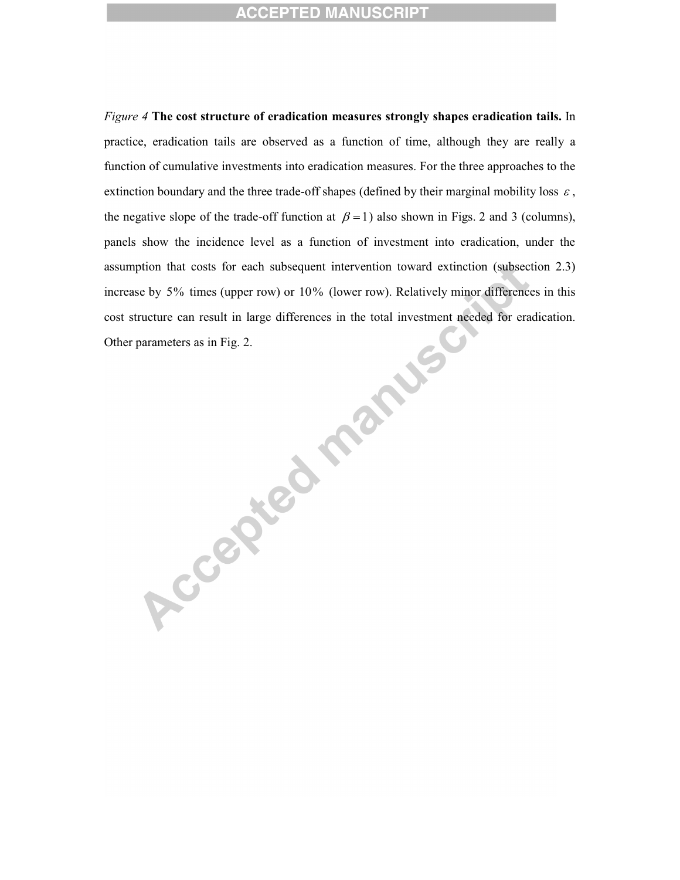*Figure 4* **The cost structure of eradication measures strongly shapes eradication tails.** In practice, eradication tails are observed as a function of time, although they are really a function of cumulative investments into eradication measures. For the three approaches to the extinction boundary and the three trade-off shapes (defined by their marginal mobility loss  $\varepsilon$ , the negative slope of the trade-off function at  $\beta = 1$ ) also shown in Figs. 2 and 3 (columns), panels show the incidence level as a function of investment into eradication, under the assumption that costs for each subsequent intervention toward extinction (subsection 2.3) increase by 5% times (upper row) or 10% (lower row). Relatively minor differences in this cost structure can result in large differences in the total investment needed for eradication.

Other parameters as in Fig. 2.<br>
Other parameters as in Fig. 2.<br>
CONSIDERATION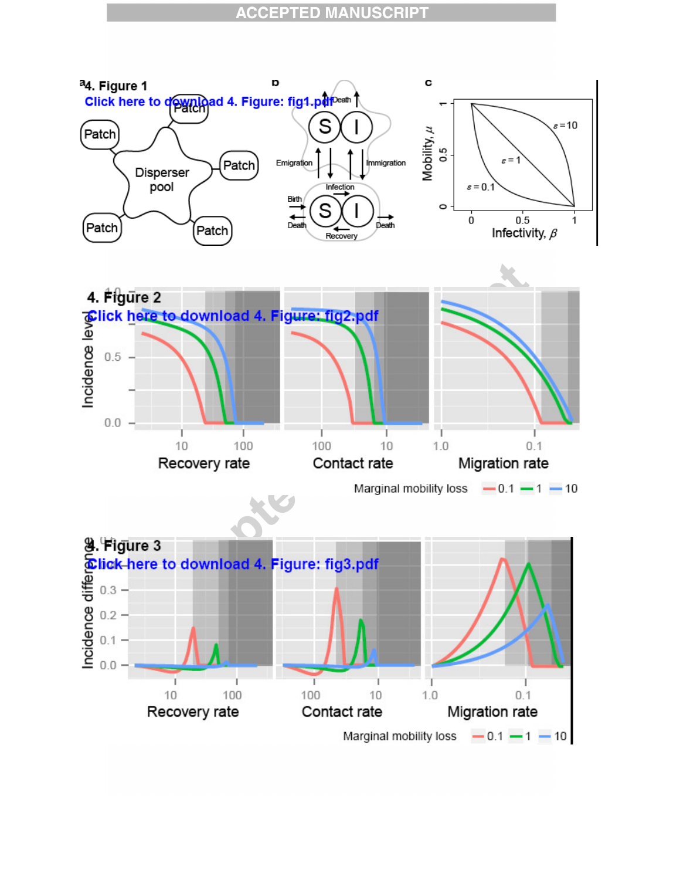